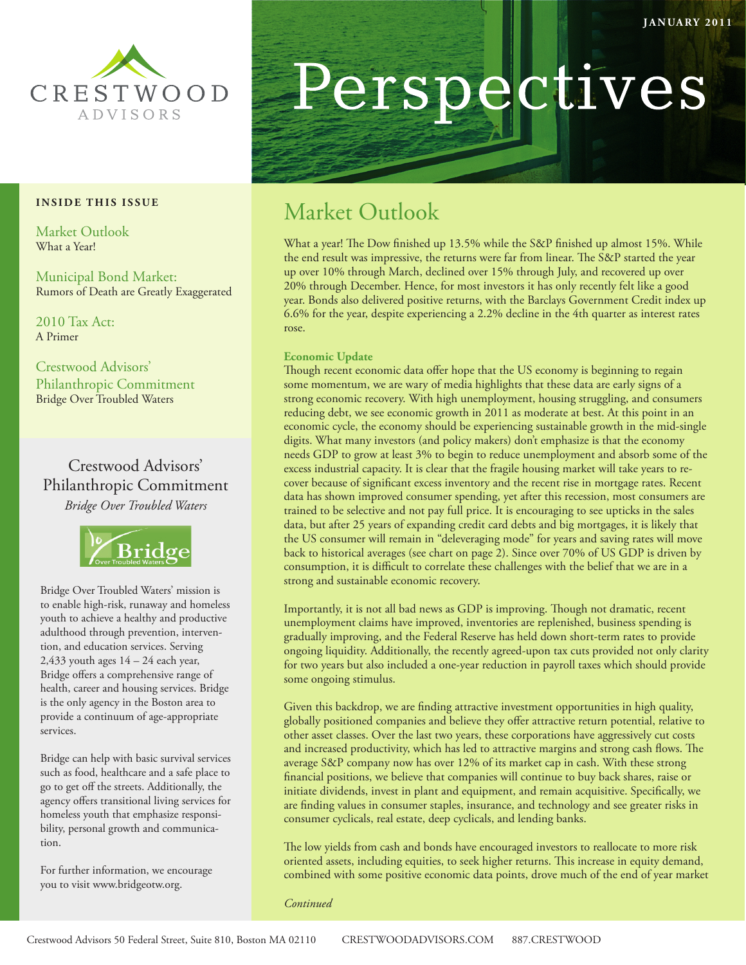

#### **INSIDE THIS ISSUE**

Market Outlook What a Year!

Municipal Bond Market: Rumors of Death are Greatly Exaggerated

2010 Tax Act: A Primer

Crestwood Advisors' Philanthropic Commitment Bridge Over Troubled Waters

Crestwood Advisors' Philanthropic Commitment *Bridge Over Troubled Waters*



Bridge Over Troubled Waters' mission is to enable high-risk, runaway and homeless youth to achieve a healthy and productive adulthood through prevention, intervention, and education services. Serving 2,433 youth ages  $14 - 24$  each year, Bridge offers a comprehensive range of health, career and housing services. Bridge is the only agency in the Boston area to provide a continuum of age-appropriate services.

Bridge can help with basic survival services such as food, healthcare and a safe place to go to get off the streets. Additionally, the agency offers transitional living services for homeless youth that emphasize responsibility, personal growth and communication.

For further information, we encourage you to visit www.bridgeotw.org.

# Perspectives

# Market Outlook

What a year! The Dow finished up 13.5% while the S&P finished up almost 15%. While the end result was impressive, the returns were far from linear. The S&P started the year up over 10% through March, declined over 15% through July, and recovered up over 20% through December. Hence, for most investors it has only recently felt like a good year. Bonds also delivered positive returns, with the Barclays Government Credit index up 6.6% for the year, despite experiencing a 2.2% decline in the 4th quarter as interest rates rose.

#### **Economic Update**

Though recent economic data offer hope that the US economy is beginning to regain some momentum, we are wary of media highlights that these data are early signs of a strong economic recovery. With high unemployment, housing struggling, and consumers reducing debt, we see economic growth in 2011 as moderate at best. At this point in an economic cycle, the economy should be experiencing sustainable growth in the mid-single digits. What many investors (and policy makers) don't emphasize is that the economy needs GDP to grow at least 3% to begin to reduce unemployment and absorb some of the excess industrial capacity. It is clear that the fragile housing market will take years to recover because of significant excess inventory and the recent rise in mortgage rates. Recent data has shown improved consumer spending, yet after this recession, most consumers are trained to be selective and not pay full price. It is encouraging to see upticks in the sales data, but after 25 years of expanding credit card debts and big mortgages, it is likely that the US consumer will remain in "deleveraging mode" for years and saving rates will move back to historical averages (see chart on page 2). Since over 70% of US GDP is driven by consumption, it is difficult to correlate these challenges with the belief that we are in a strong and sustainable economic recovery.

Importantly, it is not all bad news as GDP is improving. Though not dramatic, recent unemployment claims have improved, inventories are replenished, business spending is gradually improving, and the Federal Reserve has held down short-term rates to provide ongoing liquidity. Additionally, the recently agreed-upon tax cuts provided not only clarity for two years but also included a one-year reduction in payroll taxes which should provide some ongoing stimulus.

Given this backdrop, we are finding attractive investment opportunities in high quality, globally positioned companies and believe they offer attractive return potential, relative to other asset classes. Over the last two years, these corporations have aggressively cut costs and increased productivity, which has led to attractive margins and strong cash flows. The average S&P company now has over 12% of its market cap in cash. With these strong financial positions, we believe that companies will continue to buy back shares, raise or initiate dividends, invest in plant and equipment, and remain acquisitive. Specifically, we are finding values in consumer staples, insurance, and technology and see greater risks in consumer cyclicals, real estate, deep cyclicals, and lending banks.

The low yields from cash and bonds have encouraged investors to reallocate to more risk oriented assets, including equities, to seek higher returns. This increase in equity demand, combined with some positive economic data points, drove much of the end of year market

*Continued*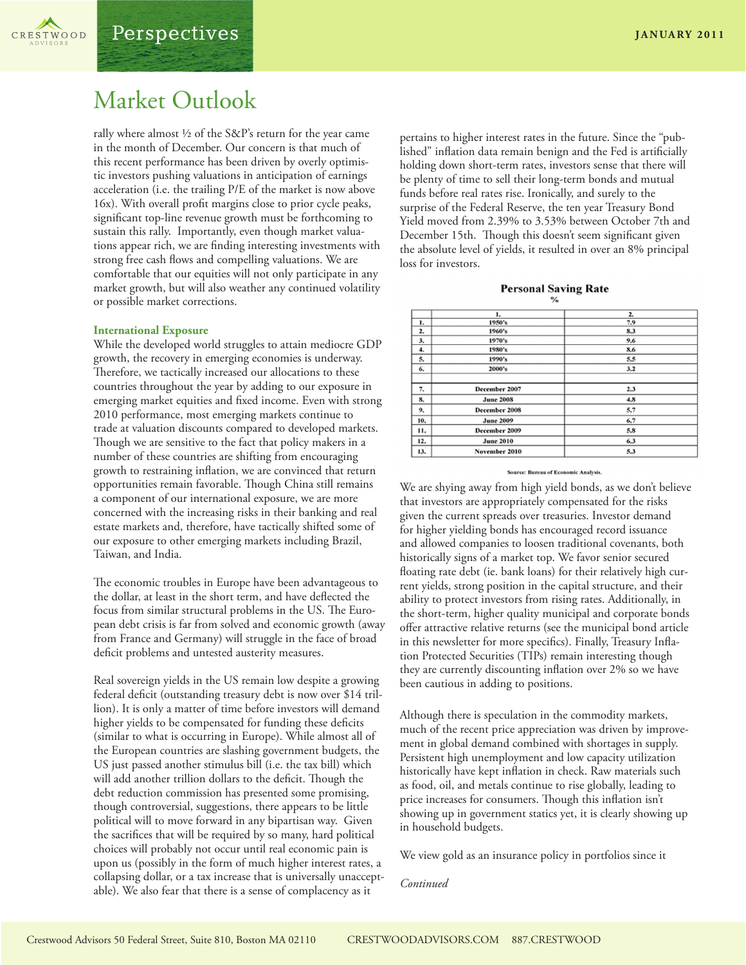

## Market Outlook

rally where almost ½ of the S&P's return for the year came in the month of December. Our concern is that much of this recent performance has been driven by overly optimistic investors pushing valuations in anticipation of earnings acceleration (i.e. the trailing P/E of the market is now above 16x). With overall profit margins close to prior cycle peaks, significant top-line revenue growth must be forthcoming to sustain this rally. Importantly, even though market valuations appear rich, we are finding interesting investments with strong free cash flows and compelling valuations. We are comfortable that our equities will not only participate in any market growth, but will also weather any continued volatility or possible market corrections.

#### **International Exposure**

While the developed world struggles to attain mediocre GDP growth, the recovery in emerging economies is underway. Therefore, we tactically increased our allocations to these countries throughout the year by adding to our exposure in emerging market equities and fixed income. Even with strong 2010 performance, most emerging markets continue to trade at valuation discounts compared to developed markets. Though we are sensitive to the fact that policy makers in a number of these countries are shifting from encouraging growth to restraining inflation, we are convinced that return opportunities remain favorable. Though China still remains a component of our international exposure, we are more concerned with the increasing risks in their banking and real estate markets and, therefore, have tactically shifted some of our exposure to other emerging markets including Brazil, Taiwan, and India.

The economic troubles in Europe have been advantageous to the dollar, at least in the short term, and have deflected the focus from similar structural problems in the US. The European debt crisis is far from solved and economic growth (away from France and Germany) will struggle in the face of broad deficit problems and untested austerity measures.

Real sovereign yields in the US remain low despite a growing federal deficit (outstanding treasury debt is now over \$14 trillion). It is only a matter of time before investors will demand higher yields to be compensated for funding these deficits (similar to what is occurring in Europe). While almost all of the European countries are slashing government budgets, the US just passed another stimulus bill (i.e. the tax bill) which will add another trillion dollars to the deficit. Though the debt reduction commission has presented some promising, though controversial, suggestions, there appears to be little political will to move forward in any bipartisan way. Given the sacrifices that will be required by so many, hard political choices will probably not occur until real economic pain is upon us (possibly in the form of much higher interest rates, a collapsing dollar, or a tax increase that is universally unacceptable). We also fear that there is a sense of complacency as it

pertains to higher interest rates in the future. Since the "published" inflation data remain benign and the Fed is artificially holding down short-term rates, investors sense that there will be plenty of time to sell their long-term bonds and mutual funds before real rates rise. Ironically, and surely to the surprise of the Federal Reserve, the ten year Treasury Bond Yield moved from 2.39% to 3.53% between October 7th and December 15th. Though this doesn't seem significant given the absolute level of yields, it resulted in over an 8% principal loss for investors.

#### **Personal Saving Rate**

|     | 1.                   | 2.  |
|-----|----------------------|-----|
| 1.  | 1950's               | 7.9 |
| 2.  | 1960's               | 8.3 |
| 3.  | 1970's               | 9.6 |
| 4.  | 1980's               | 8.6 |
| 5.  | 1990's               | 5.5 |
| 6.  | 2000's               | 3.2 |
| 7.  | December 2007        | 2.3 |
| 8.  | <b>June 2008</b>     | 4.8 |
| 9.  | <b>December 2008</b> | 5.7 |
| 10. | <b>June 2009</b>     | 6.7 |
| 11. | December 2009        | 5.8 |
| 12. | <b>June 2010</b>     | 6.3 |
| 13. | November 2010        | 5.3 |

#### **Source: Bureau of Economic Analysis**

We are shying away from high yield bonds, as we don't believe that investors are appropriately compensated for the risks given the current spreads over treasuries. Investor demand for higher yielding bonds has encouraged record issuance and allowed companies to loosen traditional covenants, both historically signs of a market top. We favor senior secured floating rate debt (ie. bank loans) for their relatively high current yields, strong position in the capital structure, and their ability to protect investors from rising rates. Additionally, in the short-term, higher quality municipal and corporate bonds offer attractive relative returns (see the municipal bond article in this newsletter for more specifics). Finally, Treasury Inflation Protected Securities (TIPs) remain interesting though they are currently discounting inflation over 2% so we have been cautious in adding to positions.

Although there is speculation in the commodity markets, much of the recent price appreciation was driven by improvement in global demand combined with shortages in supply. Persistent high unemployment and low capacity utilization historically have kept inflation in check. Raw materials such as food, oil, and metals continue to rise globally, leading to price increases for consumers. Though this inflation isn't showing up in government statics yet, it is clearly showing up in household budgets.

We view gold as an insurance policy in portfolios since it

*Continued*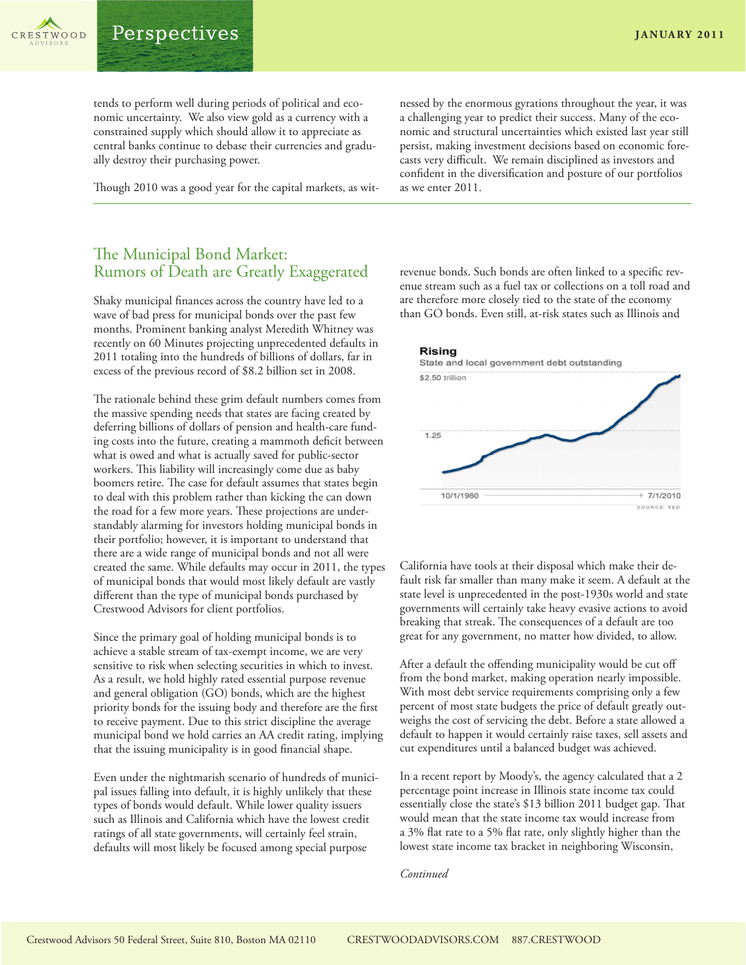tends to perform well during periods of political and economic uncertainty. We also view gold as a currency with a constrained supply which should allow it to appreciate as central banks continue to debase their currencies and gradually destroy their purchasing power.

Though 2010 was a good year for the capital markets, as wit-

nessed by the enormous gyrations throughout the year, it was a challenging year to predict their success. Many of the economic and structural uncertainties which existed last year still persist, making investment decisions based on economic forecasts very difficult. We remain disciplined as investors and confident in the diversification and posture of our portfolios as we enter 2011.

## The Municipal Bond Market: Rumors of Death are Greatly Exaggerated

Shaky municipal finances across the country have led to a wave of bad press for municipal bonds over the past few months. Prominent banking analyst Meredith Whitney was recently on 60 Minutes projecting unprecedented defaults in 2011 totaling into the hundreds of billions of dollars, far in excess of the previous record of \$8.2 billion set in 2008.

The rationale behind these grim default numbers comes from the massive spending needs that states are facing created by deferring billions of dollars of pension and health-care funding costs into the future, creating a mammoth deficit between what is owed and what is actually saved for public-sector workers. This liability will increasingly come due as baby boomers retire. The case for default assumes that states begin to deal with this problem rather than kicking the can down the road for a few more years. These projections are understandably alarming for investors holding municipal bonds in their portfolio; however, it is important to understand that there are a wide range of municipal bonds and not all were created the same. While defaults may occur in 2011, the types of municipal bonds that would most likely default are vastly different than the type of municipal bonds purchased by Crestwood Advisors for client portfolios.

Since the primary goal of holding municipal bonds is to achieve a stable stream of tax-exempt income, we are very sensitive to risk when selecting securities in which to invest. As a result, we hold highly rated essential purpose revenue and general obligation (GO) bonds, which are the highest priority bonds for the issuing body and therefore are the first to receive payment. Due to this strict discipline the average municipal bond we hold carries an AA credit rating, implying that the issuing municipality is in good financial shape.

Even under the nightmarish scenario of hundreds of municipal issues falling into default, it is highly unlikely that these types of bonds would default. While lower quality issuers such as Illinois and California which have the lowest credit ratings of all state governments, will certainly feel strain, defaults will most likely be focused among special purpose

revenue bonds. Such bonds are often linked to a specific revenue stream such as a fuel tax or collections on a toll road and are therefore more closely tied to the state of the economy than GO bonds. Even still, at-risk states such as Illinois and



California have tools at their disposal which make their default risk far smaller than many make it seem. A default at the state level is unprecedented in the post-1930s world and state governments will certainly take heavy evasive actions to avoid breaking that streak. The consequences of a default are too great for any government, no matter how divided, to allow.

After a default the offending municipality would be cut off from the bond market, making operation nearly impossible. With most debt service requirements comprising only a few percent of most state budgets the price of default greatly outweighs the cost of servicing the debt. Before a state allowed a default to happen it would certainly raise taxes, sell assets and cut expenditures until a balanced budget was achieved.

In a recent report by Moody's, the agency calculated that a 2 percentage point increase in Illinois state income tax could essentially close the state's \$13 billion 2011 budget gap. That would mean that the state income tax would increase from a 3% flat rate to a 5% flat rate, only slightly higher than the lowest state income tax bracket in neighboring Wisconsin,

#### *Continued*